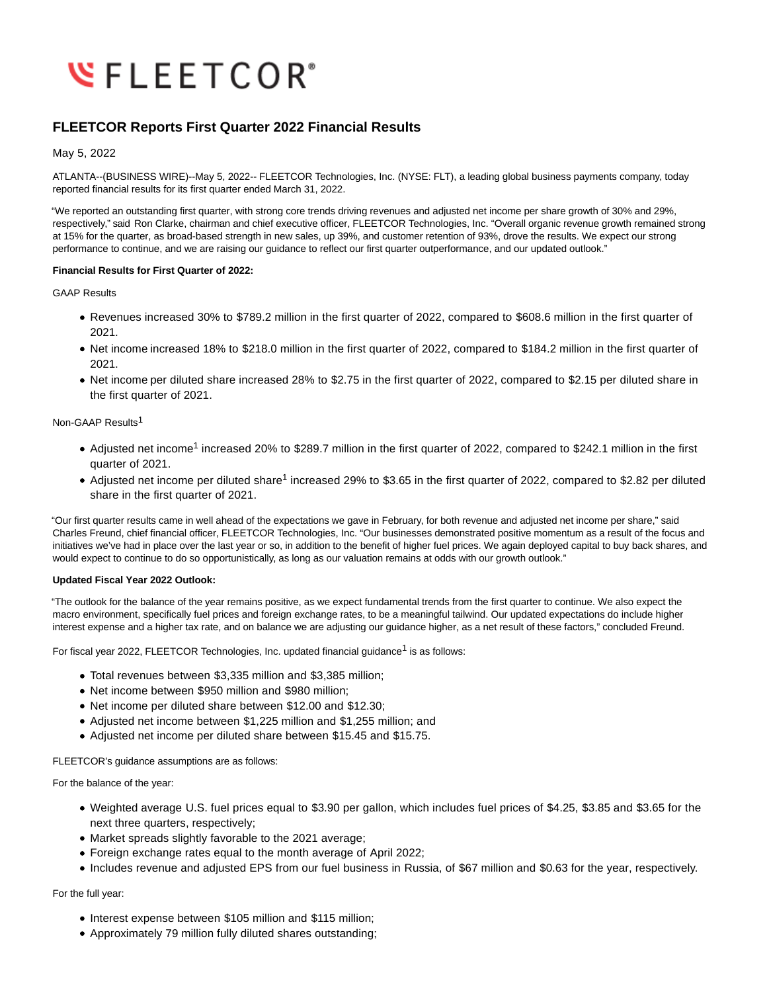# **WFLEETCOR**<sup>\*</sup>

## **FLEETCOR Reports First Quarter 2022 Financial Results**

### May 5, 2022

ATLANTA--(BUSINESS WIRE)--May 5, 2022-- FLEETCOR Technologies, Inc. (NYSE: FLT), a leading global business payments company, today reported financial results for its first quarter ended March 31, 2022.

"We reported an outstanding first quarter, with strong core trends driving revenues and adjusted net income per share growth of 30% and 29%, respectively," said Ron Clarke, chairman and chief executive officer, FLEETCOR Technologies, Inc. "Overall organic revenue growth remained strong at 15% for the quarter, as broad-based strength in new sales, up 39%, and customer retention of 93%, drove the results. We expect our strong performance to continue, and we are raising our guidance to reflect our first quarter outperformance, and our updated outlook."

#### **Financial Results for First Quarter of 2022:**

#### GAAP Results

- Revenues increased 30% to \$789.2 million in the first quarter of 2022, compared to \$608.6 million in the first quarter of 2021.
- Net income increased 18% to \$218.0 million in the first quarter of 2022, compared to \$184.2 million in the first quarter of 2021.
- Net income per diluted share increased 28% to \$2.75 in the first quarter of 2022, compared to \$2.15 per diluted share in the first quarter of 2021.

#### Non-GAAP Results<sup>1</sup>

- Adjusted net income<sup>1</sup> increased 20% to \$289.7 million in the first quarter of 2022, compared to \$242.1 million in the first quarter of 2021.
- Adjusted net income per diluted share<sup>1</sup> increased 29% to \$3.65 in the first quarter of 2022, compared to \$2.82 per diluted share in the first quarter of 2021.

"Our first quarter results came in well ahead of the expectations we gave in February, for both revenue and adjusted net income per share," said Charles Freund, chief financial officer, FLEETCOR Technologies, Inc. "Our businesses demonstrated positive momentum as a result of the focus and initiatives we've had in place over the last year or so, in addition to the benefit of higher fuel prices. We again deployed capital to buy back shares, and would expect to continue to do so opportunistically, as long as our valuation remains at odds with our growth outlook."

#### **Updated Fiscal Year 2022 Outlook:**

"The outlook for the balance of the year remains positive, as we expect fundamental trends from the first quarter to continue. We also expect the macro environment, specifically fuel prices and foreign exchange rates, to be a meaningful tailwind. Our updated expectations do include higher interest expense and a higher tax rate, and on balance we are adjusting our guidance higher, as a net result of these factors," concluded Freund.

For fiscal year 2022, FLEETCOR Technologies, Inc. updated financial guidance<sup>1</sup> is as follows:

- Total revenues between \$3,335 million and \$3,385 million;
- Net income between \$950 million and \$980 million;
- Net income per diluted share between \$12.00 and \$12.30;
- Adjusted net income between \$1,225 million and \$1,255 million; and
- Adjusted net income per diluted share between \$15.45 and \$15.75.

FLEETCOR's guidance assumptions are as follows:

For the balance of the year:

- Weighted average U.S. fuel prices equal to \$3.90 per gallon, which includes fuel prices of \$4.25, \$3.85 and \$3.65 for the next three quarters, respectively;
- Market spreads slightly favorable to the 2021 average;
- Foreign exchange rates equal to the month average of April 2022;
- Includes revenue and adjusted EPS from our fuel business in Russia, of \$67 million and \$0.63 for the year, respectively.

For the full year:

- Interest expense between \$105 million and \$115 million;
- Approximately 79 million fully diluted shares outstanding;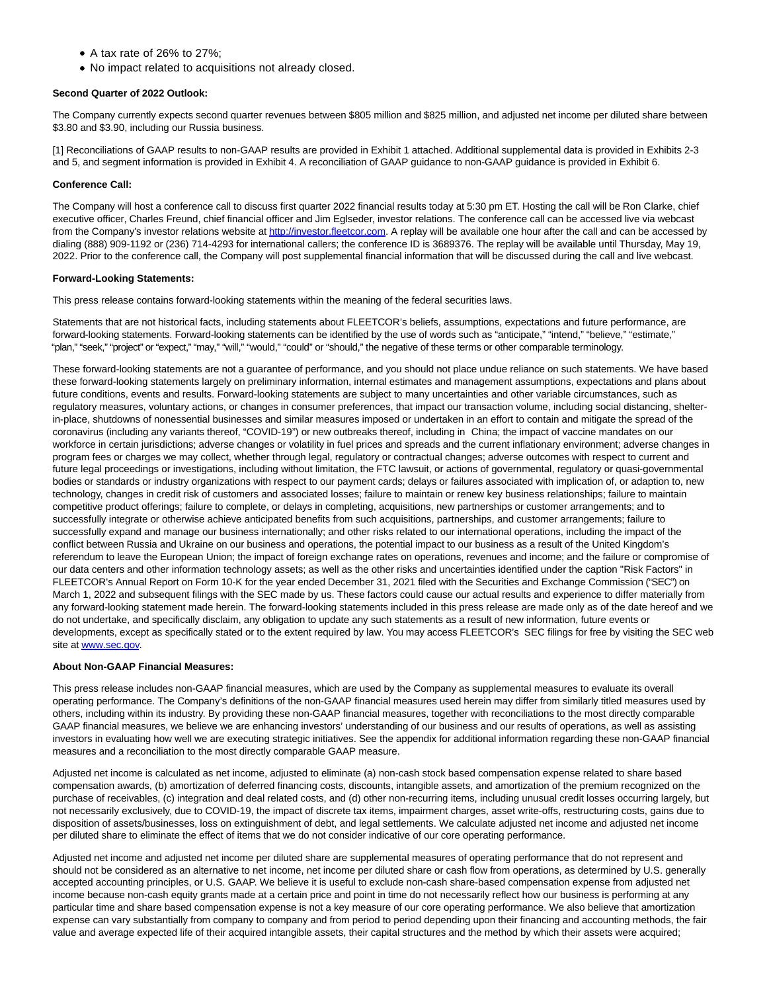- A tax rate of 26% to 27%;
- No impact related to acquisitions not already closed.

#### **Second Quarter of 2022 Outlook:**

The Company currently expects second quarter revenues between \$805 million and \$825 million, and adjusted net income per diluted share between \$3.80 and \$3.90, including our Russia business.

[1] Reconciliations of GAAP results to non-GAAP results are provided in Exhibit 1 attached. Additional supplemental data is provided in Exhibits 2-3 and 5, and segment information is provided in Exhibit 4. A reconciliation of GAAP guidance to non-GAAP guidance is provided in Exhibit 6.

#### **Conference Call:**

The Company will host a conference call to discuss first quarter 2022 financial results today at 5:30 pm ET. Hosting the call will be Ron Clarke, chief executive officer, Charles Freund, chief financial officer and Jim Eglseder, investor relations. The conference call can be accessed live via webcast from the Company's investor relations website at [http://investor.fleetcor.com.](https://cts.businesswire.com/ct/CT?id=smartlink&url=http%3A%2F%2Finvestor.fleetcor.com&esheet=52710149&newsitemid=20220505006108&lan=en-US&anchor=http%3A%2F%2Finvestor.fleetcor.com&index=1&md5=2084e6bc5b470196e131049ffb055154) A replay will be available one hour after the call and can be accessed by dialing (888) 909-1192 or (236) 714-4293 for international callers; the conference ID is 3689376. The replay will be available until Thursday, May 19, 2022. Prior to the conference call, the Company will post supplemental financial information that will be discussed during the call and live webcast.

#### **Forward-Looking Statements:**

This press release contains forward-looking statements within the meaning of the federal securities laws.

Statements that are not historical facts, including statements about FLEETCOR's beliefs, assumptions, expectations and future performance, are forward-looking statements. Forward-looking statements can be identified by the use of words such as "anticipate," "intend," "believe," "estimate," "plan," "seek," "project" or "expect," "may," "will," "would," "could" or "should," the negative of these terms or other comparable terminology.

These forward-looking statements are not a guarantee of performance, and you should not place undue reliance on such statements. We have based these forward-looking statements largely on preliminary information, internal estimates and management assumptions, expectations and plans about future conditions, events and results. Forward-looking statements are subject to many uncertainties and other variable circumstances, such as regulatory measures, voluntary actions, or changes in consumer preferences, that impact our transaction volume, including social distancing, shelterin-place, shutdowns of nonessential businesses and similar measures imposed or undertaken in an effort to contain and mitigate the spread of the coronavirus (including any variants thereof, "COVID-19") or new outbreaks thereof, including in China; the impact of vaccine mandates on our workforce in certain jurisdictions; adverse changes or volatility in fuel prices and spreads and the current inflationary environment; adverse changes in program fees or charges we may collect, whether through legal, regulatory or contractual changes; adverse outcomes with respect to current and future legal proceedings or investigations, including without limitation, the FTC lawsuit, or actions of governmental, regulatory or quasi-governmental bodies or standards or industry organizations with respect to our payment cards; delays or failures associated with implication of, or adaption to, new technology, changes in credit risk of customers and associated losses; failure to maintain or renew key business relationships; failure to maintain competitive product offerings; failure to complete, or delays in completing, acquisitions, new partnerships or customer arrangements; and to successfully integrate or otherwise achieve anticipated benefits from such acquisitions, partnerships, and customer arrangements; failure to successfully expand and manage our business internationally; and other risks related to our international operations, including the impact of the conflict between Russia and Ukraine on our business and operations, the potential impact to our business as a result of the United Kingdom's referendum to leave the European Union; the impact of foreign exchange rates on operations, revenues and income; and the failure or compromise of our data centers and other information technology assets; as well as the other risks and uncertainties identified under the caption "Risk Factors" in FLEETCOR's Annual Report on Form 10-K for the year ended December 31, 2021 filed with the Securities and Exchange Commission ("SEC") on March 1, 2022 and subsequent filings with the SEC made by us. These factors could cause our actual results and experience to differ materially from any forward-looking statement made herein. The forward-looking statements included in this press release are made only as of the date hereof and we do not undertake, and specifically disclaim, any obligation to update any such statements as a result of new information, future events or developments, except as specifically stated or to the extent required by law. You may access FLEETCOR's SEC filings for free by visiting the SEC web site a[t www.sec.gov.](http://www.sec.gov/)

#### **About Non-GAAP Financial Measures:**

This press release includes non-GAAP financial measures, which are used by the Company as supplemental measures to evaluate its overall operating performance. The Company's definitions of the non-GAAP financial measures used herein may differ from similarly titled measures used by others, including within its industry. By providing these non-GAAP financial measures, together with reconciliations to the most directly comparable GAAP financial measures, we believe we are enhancing investors' understanding of our business and our results of operations, as well as assisting investors in evaluating how well we are executing strategic initiatives. See the appendix for additional information regarding these non-GAAP financial measures and a reconciliation to the most directly comparable GAAP measure.

Adjusted net income is calculated as net income, adjusted to eliminate (a) non-cash stock based compensation expense related to share based compensation awards, (b) amortization of deferred financing costs, discounts, intangible assets, and amortization of the premium recognized on the purchase of receivables, (c) integration and deal related costs, and (d) other non-recurring items, including unusual credit losses occurring largely, but not necessarily exclusively, due to COVID-19, the impact of discrete tax items, impairment charges, asset write-offs, restructuring costs, gains due to disposition of assets/businesses, loss on extinguishment of debt, and legal settlements. We calculate adjusted net income and adjusted net income per diluted share to eliminate the effect of items that we do not consider indicative of our core operating performance.

Adjusted net income and adjusted net income per diluted share are supplemental measures of operating performance that do not represent and should not be considered as an alternative to net income, net income per diluted share or cash flow from operations, as determined by U.S. generally accepted accounting principles, or U.S. GAAP. We believe it is useful to exclude non-cash share-based compensation expense from adjusted net income because non-cash equity grants made at a certain price and point in time do not necessarily reflect how our business is performing at any particular time and share based compensation expense is not a key measure of our core operating performance. We also believe that amortization expense can vary substantially from company to company and from period to period depending upon their financing and accounting methods, the fair value and average expected life of their acquired intangible assets, their capital structures and the method by which their assets were acquired;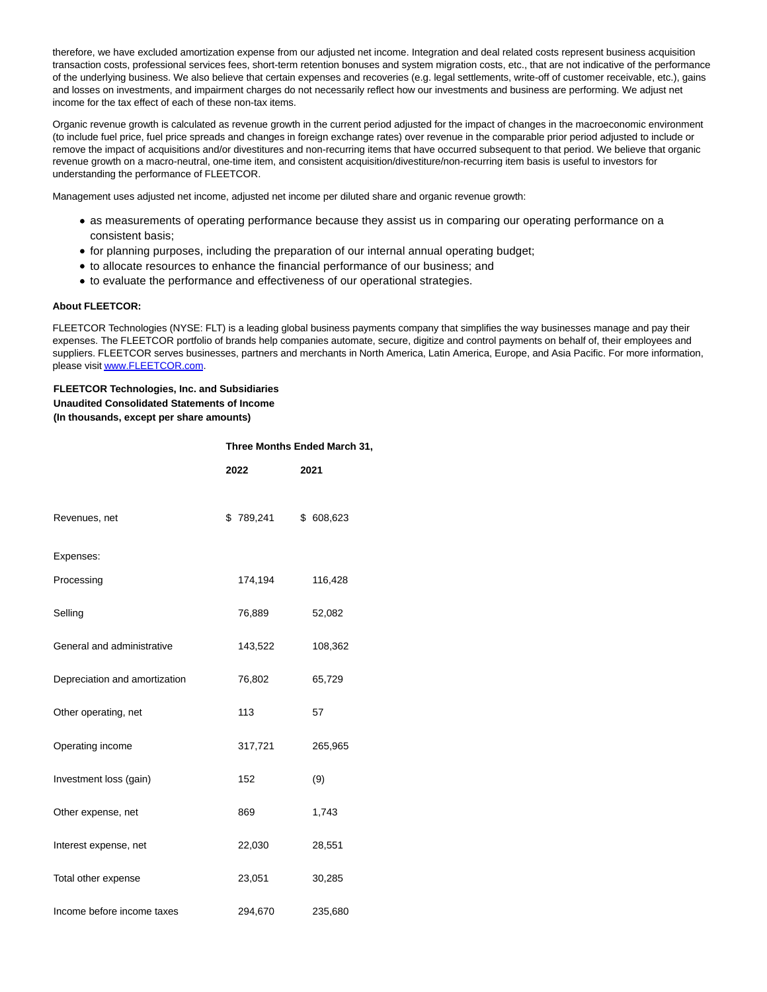therefore, we have excluded amortization expense from our adjusted net income. Integration and deal related costs represent business acquisition transaction costs, professional services fees, short-term retention bonuses and system migration costs, etc., that are not indicative of the performance of the underlying business. We also believe that certain expenses and recoveries (e.g. legal settlements, write-off of customer receivable, etc.), gains and losses on investments, and impairment charges do not necessarily reflect how our investments and business are performing. We adjust net income for the tax effect of each of these non-tax items.

Organic revenue growth is calculated as revenue growth in the current period adjusted for the impact of changes in the macroeconomic environment (to include fuel price, fuel price spreads and changes in foreign exchange rates) over revenue in the comparable prior period adjusted to include or remove the impact of acquisitions and/or divestitures and non-recurring items that have occurred subsequent to that period. We believe that organic revenue growth on a macro-neutral, one-time item, and consistent acquisition/divestiture/non-recurring item basis is useful to investors for understanding the performance of FLEETCOR.

Management uses adjusted net income, adjusted net income per diluted share and organic revenue growth:

- as measurements of operating performance because they assist us in comparing our operating performance on a consistent basis;
- for planning purposes, including the preparation of our internal annual operating budget;
- to allocate resources to enhance the financial performance of our business; and
- to evaluate the performance and effectiveness of our operational strategies.

#### **About FLEETCOR:**

FLEETCOR Technologies (NYSE: FLT) is a leading global business payments company that simplifies the way businesses manage and pay their expenses. The FLEETCOR portfolio of brands help companies automate, secure, digitize and control payments on behalf of, their employees and suppliers. FLEETCOR serves businesses, partners and merchants in North America, Latin America, Europe, and Asia Pacific. For more information, please visi[t www.FLEETCOR.com.](https://cts.businesswire.com/ct/CT?id=smartlink&url=http%3A%2F%2Fwww.FLEETCOR.com&esheet=52710149&newsitemid=20220505006108&lan=en-US&anchor=www.FLEETCOR.com&index=2&md5=52e5fe7ed244277690881cc16e67887c)

**FLEETCOR Technologies, Inc. and Subsidiaries Unaudited Consolidated Statements of Income (In thousands, except per share amounts)**

|                               | Three Months Ended March 31, |           |  |  |  |
|-------------------------------|------------------------------|-----------|--|--|--|
|                               | 2022                         | 2021      |  |  |  |
| Revenues, net                 | \$789,241                    | \$608,623 |  |  |  |
| Expenses:                     |                              |           |  |  |  |
| Processing                    | 174,194                      | 116,428   |  |  |  |
| Selling                       | 76,889                       | 52,082    |  |  |  |
| General and administrative    | 143,522                      | 108,362   |  |  |  |
| Depreciation and amortization | 76,802                       | 65,729    |  |  |  |
| Other operating, net          | 113                          | 57        |  |  |  |
| Operating income              | 317,721                      | 265,965   |  |  |  |
| Investment loss (gain)        | 152                          | (9)       |  |  |  |
| Other expense, net            | 869                          | 1,743     |  |  |  |
| Interest expense, net         | 22,030                       | 28,551    |  |  |  |
| Total other expense           | 23,051                       | 30,285    |  |  |  |
| Income before income taxes    | 294,670                      | 235,680   |  |  |  |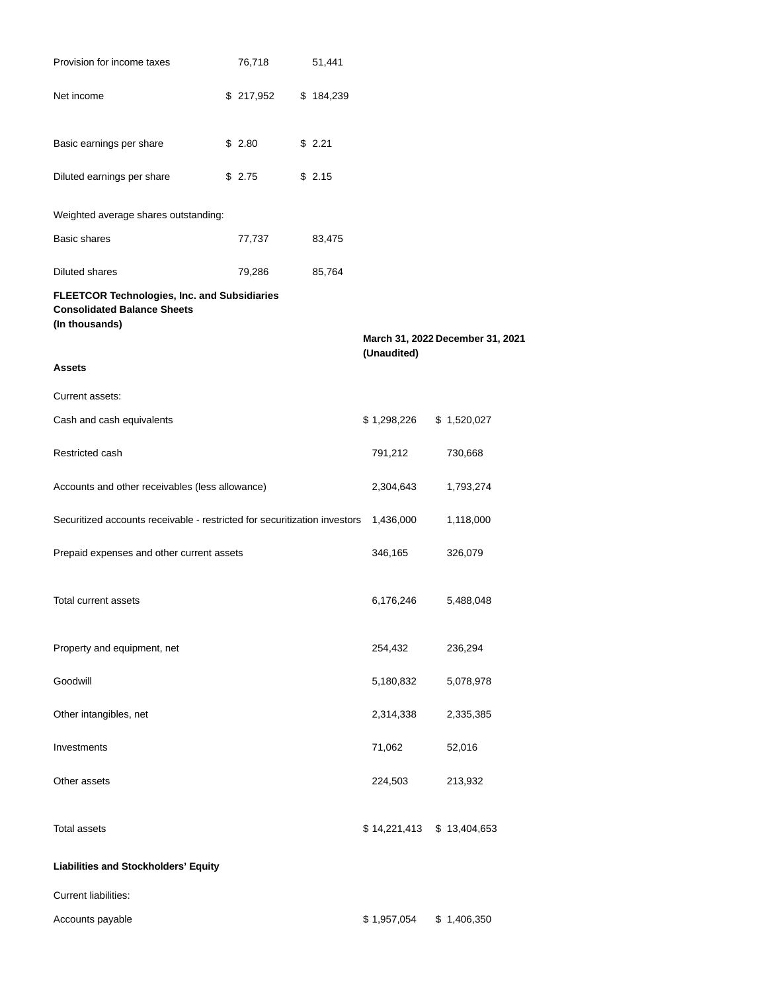| Provision for income taxes                                                                                                               |  | 76,718    |  | 51,441    |  |                           |  |             |  |  |
|------------------------------------------------------------------------------------------------------------------------------------------|--|-----------|--|-----------|--|---------------------------|--|-------------|--|--|
| Net income                                                                                                                               |  | \$217,952 |  | \$184,239 |  |                           |  |             |  |  |
| Basic earnings per share                                                                                                                 |  | \$2.80    |  | \$2.21    |  |                           |  |             |  |  |
| Diluted earnings per share                                                                                                               |  | \$2.75    |  | \$2.15    |  |                           |  |             |  |  |
| Weighted average shares outstanding:                                                                                                     |  |           |  |           |  |                           |  |             |  |  |
| Basic shares                                                                                                                             |  | 77,737    |  | 83,475    |  |                           |  |             |  |  |
| Diluted shares                                                                                                                           |  | 79,286    |  | 85,764    |  |                           |  |             |  |  |
| FLEETCOR Technologies, Inc. and Subsidiaries<br><b>Consolidated Balance Sheets</b><br>(In thousands)<br>March 31, 2022 December 31, 2021 |  |           |  |           |  |                           |  |             |  |  |
| <b>Assets</b>                                                                                                                            |  |           |  |           |  | (Unaudited)               |  |             |  |  |
| Current assets:                                                                                                                          |  |           |  |           |  |                           |  |             |  |  |
| Cash and cash equivalents                                                                                                                |  |           |  |           |  | \$1,298,226               |  | \$1,520,027 |  |  |
| Restricted cash                                                                                                                          |  |           |  |           |  | 791,212                   |  | 730,668     |  |  |
| Accounts and other receivables (less allowance)                                                                                          |  |           |  |           |  | 2,304,643                 |  | 1,793,274   |  |  |
| Securitized accounts receivable - restricted for securitization investors                                                                |  |           |  |           |  | 1,436,000                 |  | 1,118,000   |  |  |
| Prepaid expenses and other current assets                                                                                                |  |           |  |           |  | 346,165                   |  | 326,079     |  |  |
| Total current assets                                                                                                                     |  |           |  |           |  | 6,176,246                 |  | 5,488,048   |  |  |
| Property and equipment, net                                                                                                              |  |           |  |           |  | 254,432                   |  | 236,294     |  |  |
| Goodwill                                                                                                                                 |  |           |  |           |  | 5,180,832                 |  | 5,078,978   |  |  |
| Other intangibles, net                                                                                                                   |  |           |  |           |  | 2,314,338                 |  | 2,335,385   |  |  |
| Investments                                                                                                                              |  |           |  |           |  | 71,062                    |  | 52,016      |  |  |
| Other assets                                                                                                                             |  |           |  |           |  | 224,503                   |  | 213,932     |  |  |
| <b>Total assets</b>                                                                                                                      |  |           |  |           |  | \$14,221,413 \$13,404,653 |  |             |  |  |
| <b>Liabilities and Stockholders' Equity</b>                                                                                              |  |           |  |           |  |                           |  |             |  |  |
| Current liabilities:                                                                                                                     |  |           |  |           |  |                           |  |             |  |  |
| Accounts payable                                                                                                                         |  |           |  |           |  | \$1,957,054               |  | \$1,406,350 |  |  |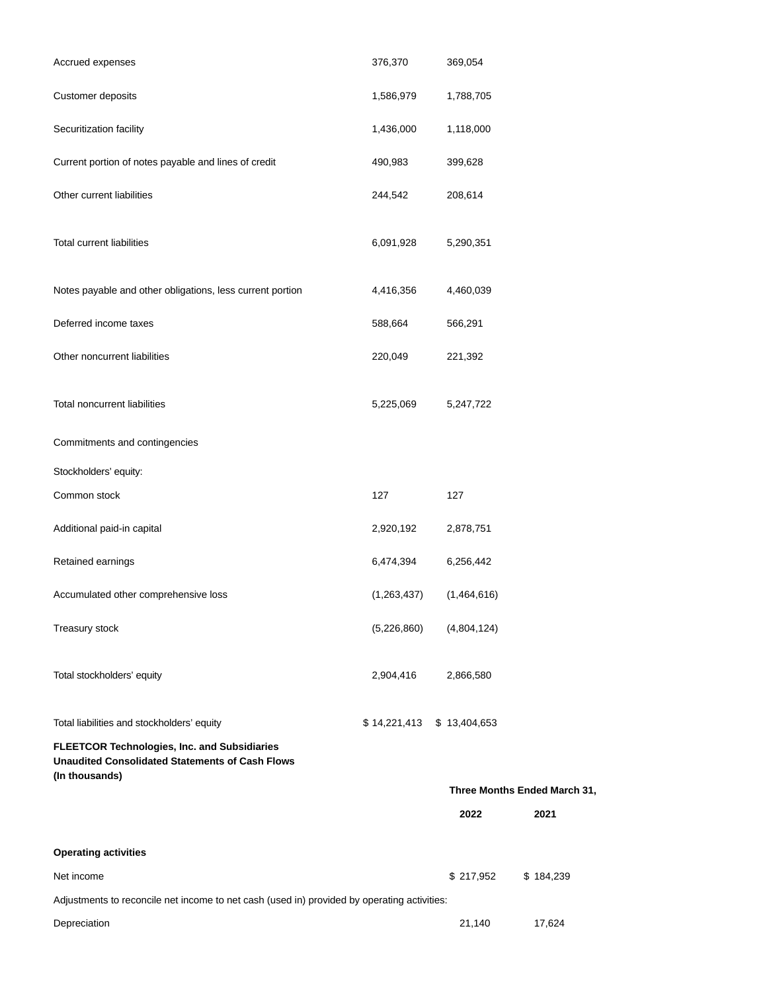| Accrued expenses                                                                                       | 376,370      | 369,054      |                              |
|--------------------------------------------------------------------------------------------------------|--------------|--------------|------------------------------|
| Customer deposits                                                                                      | 1,586,979    | 1,788,705    |                              |
| Securitization facility                                                                                | 1,436,000    | 1,118,000    |                              |
| Current portion of notes payable and lines of credit                                                   | 490,983      | 399,628      |                              |
| Other current liabilities                                                                              | 244,542      | 208,614      |                              |
| <b>Total current liabilities</b>                                                                       | 6,091,928    | 5,290,351    |                              |
| Notes payable and other obligations, less current portion                                              | 4,416,356    | 4,460,039    |                              |
| Deferred income taxes                                                                                  | 588,664      | 566,291      |                              |
| Other noncurrent liabilities                                                                           | 220,049      | 221,392      |                              |
| Total noncurrent liabilities                                                                           | 5,225,069    | 5,247,722    |                              |
| Commitments and contingencies                                                                          |              |              |                              |
| Stockholders' equity:                                                                                  |              |              |                              |
| Common stock                                                                                           | 127          | 127          |                              |
| Additional paid-in capital                                                                             | 2,920,192    | 2,878,751    |                              |
| Retained earnings                                                                                      | 6,474,394    | 6,256,442    |                              |
| Accumulated other comprehensive loss                                                                   | (1,263,437)  | (1,464,616)  |                              |
| Treasury stock                                                                                         | (5,226,860)  | (4,804,124)  |                              |
| Total stockholders' equity                                                                             | 2,904,416    | 2,866,580    |                              |
| Total liabilities and stockholders' equity                                                             | \$14,221,413 | \$13,404,653 |                              |
| FLEETCOR Technologies, Inc. and Subsidiaries<br><b>Unaudited Consolidated Statements of Cash Flows</b> |              |              |                              |
| (In thousands)                                                                                         |              |              | Three Months Ended March 31, |
|                                                                                                        |              | 2022         | 2021                         |
|                                                                                                        |              |              |                              |
| <b>Operating activities</b>                                                                            |              |              |                              |
| Net income                                                                                             |              | \$217,952    | \$184,239                    |
| Adjustments to reconcile net income to net cash (used in) provided by operating activities:            |              |              |                              |
| Depreciation                                                                                           |              | 21,140       | 17,624                       |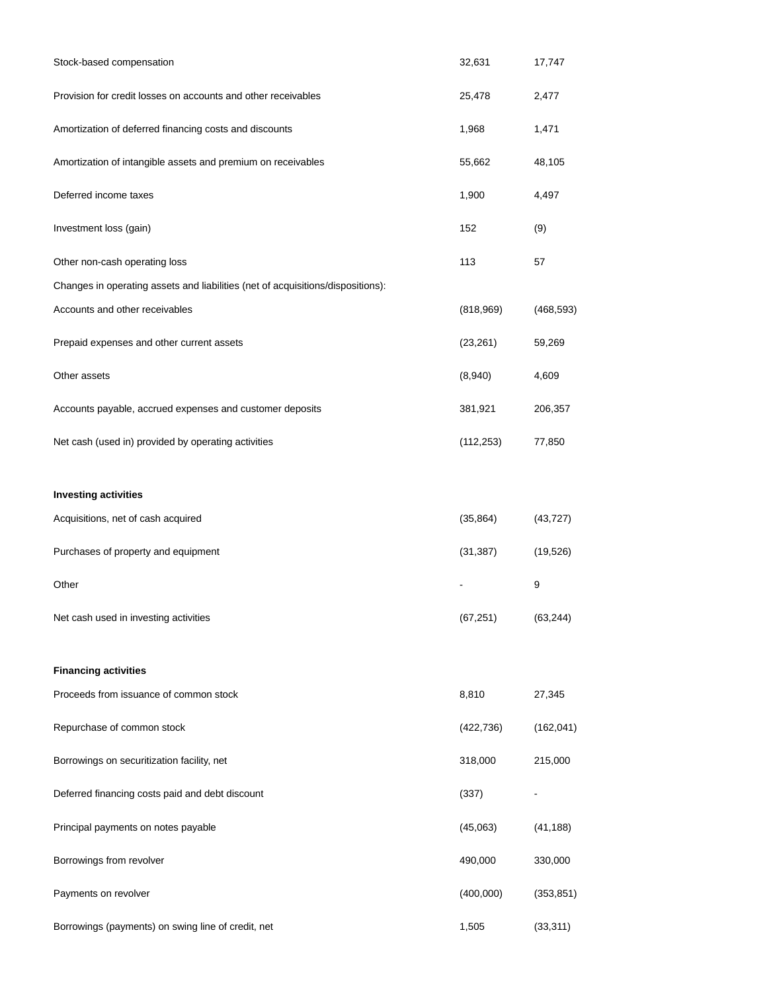| Stock-based compensation                                                        | 32,631     | 17,747     |
|---------------------------------------------------------------------------------|------------|------------|
| Provision for credit losses on accounts and other receivables                   | 25,478     | 2,477      |
| Amortization of deferred financing costs and discounts                          | 1,968      | 1,471      |
| Amortization of intangible assets and premium on receivables                    | 55,662     | 48,105     |
| Deferred income taxes                                                           | 1,900      | 4,497      |
| Investment loss (gain)                                                          | 152        | (9)        |
| Other non-cash operating loss                                                   | 113        | 57         |
| Changes in operating assets and liabilities (net of acquisitions/dispositions): |            |            |
| Accounts and other receivables                                                  | (818,969)  | (468, 593) |
| Prepaid expenses and other current assets                                       | (23, 261)  | 59,269     |
| Other assets                                                                    | (8,940)    | 4,609      |
| Accounts payable, accrued expenses and customer deposits                        | 381,921    | 206,357    |
| Net cash (used in) provided by operating activities                             | (112, 253) | 77,850     |
| <b>Investing activities</b>                                                     |            |            |
| Acquisitions, net of cash acquired                                              | (35, 864)  | (43, 727)  |
| Purchases of property and equipment                                             | (31, 387)  | (19, 526)  |
| Other                                                                           |            | 9          |
| Net cash used in investing activities                                           | (67, 251)  | (63, 244)  |
| <b>Financing activities</b>                                                     |            |            |
| Proceeds from issuance of common stock                                          | 8,810      | 27,345     |
| Repurchase of common stock                                                      | (422, 736) | (162, 041) |
| Borrowings on securitization facility, net                                      | 318,000    | 215,000    |
| Deferred financing costs paid and debt discount                                 | (337)      |            |
| Principal payments on notes payable                                             | (45,063)   | (41, 188)  |
| Borrowings from revolver                                                        | 490,000    | 330,000    |
| Payments on revolver                                                            | (400,000)  | (353, 851) |
| Borrowings (payments) on swing line of credit, net                              | 1,505      | (33, 311)  |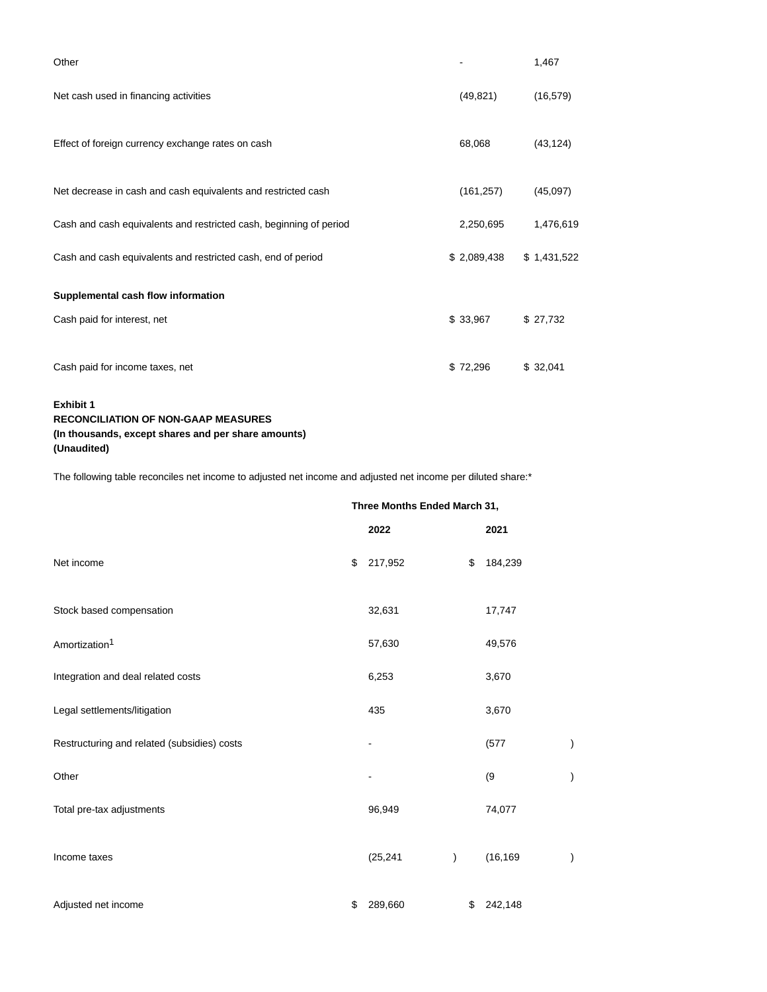| Other                                                              |             | 1,467       |
|--------------------------------------------------------------------|-------------|-------------|
| Net cash used in financing activities                              | (49, 821)   | (16, 579)   |
| Effect of foreign currency exchange rates on cash                  | 68,068      | (43, 124)   |
| Net decrease in cash and cash equivalents and restricted cash      | (161, 257)  | (45,097)    |
| Cash and cash equivalents and restricted cash, beginning of period | 2,250,695   | 1,476,619   |
| Cash and cash equivalents and restricted cash, end of period       | \$2,089,438 | \$1,431,522 |
| Supplemental cash flow information                                 |             |             |
| Cash paid for interest, net                                        | \$33,967    | \$27,732    |
| Cash paid for income taxes, net                                    | \$72,296    | \$32,041    |

## **Exhibit 1 RECONCILIATION OF NON-GAAP MEASURES (In thousands, except shares and per share amounts) (Unaudited)**

The following table reconciles net income to adjusted net income and adjusted net income per diluted share:\*

|                                             | Three Months Ended March 31, |           |           |    |           |   |
|---------------------------------------------|------------------------------|-----------|-----------|----|-----------|---|
|                                             |                              | 2022      |           |    | 2021      |   |
| Net income                                  | \$                           | 217,952   |           | \$ | 184,239   |   |
| Stock based compensation                    |                              | 32,631    |           |    | 17,747    |   |
| Amortization <sup>1</sup>                   |                              | 57,630    |           |    | 49,576    |   |
| Integration and deal related costs          |                              | 6,253     |           |    | 3,670     |   |
| Legal settlements/litigation                |                              | 435       |           |    | 3,670     |   |
| Restructuring and related (subsidies) costs |                              |           |           |    | (577)     |   |
| Other                                       |                              |           |           |    | (9)       |   |
| Total pre-tax adjustments                   |                              | 96,949    |           |    | 74,077    |   |
| Income taxes                                |                              | (25, 241) | $\lambda$ |    | (16, 169) | ) |
| Adjusted net income                         | \$                           | 289,660   |           | \$ | 242,148   |   |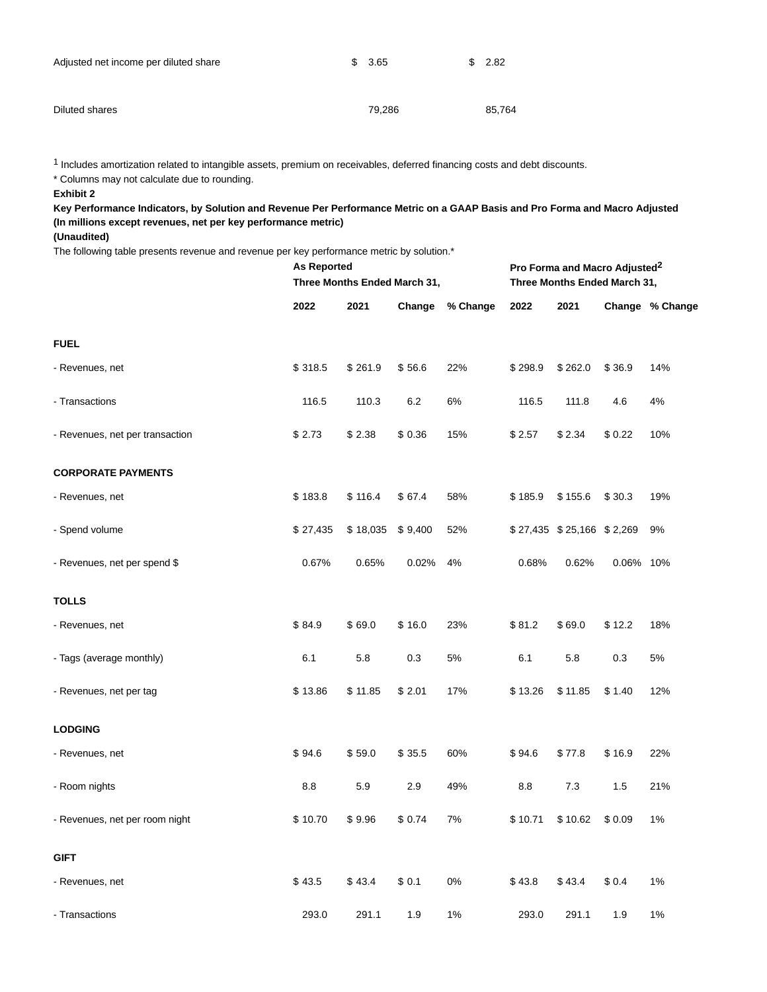| Adjusted net income per diluted share | \$3.65 | \$2.82 |
|---------------------------------------|--------|--------|
| Diluted shares                        | 79.286 | 85,764 |

1 Includes amortization related to intangible assets, premium on receivables, deferred financing costs and debt discounts.

\* Columns may not calculate due to rounding.

## **Exhibit 2**

**Key Performance Indicators, by Solution and Revenue Per Performance Metric on a GAAP Basis and Pro Forma and Macro Adjusted (In millions except revenues, net per key performance metric)**

## **(Unaudited)**

The following table presents revenue and revenue per key performance metric by solution.\*

|                                 | <b>As Reported</b><br>Three Months Ended March 31, |          |         |          | Pro Forma and Macro Adjusted <sup>2</sup><br>Three Months Ended March 31, |                              |           |                 |  |
|---------------------------------|----------------------------------------------------|----------|---------|----------|---------------------------------------------------------------------------|------------------------------|-----------|-----------------|--|
|                                 | 2022                                               | 2021     | Change  | % Change | 2022                                                                      | 2021                         |           | Change % Change |  |
| <b>FUEL</b>                     |                                                    |          |         |          |                                                                           |                              |           |                 |  |
| - Revenues, net                 | \$318.5                                            | \$261.9  | \$56.6  | 22%      | \$298.9                                                                   | \$262.0                      | \$36.9    | 14%             |  |
| - Transactions                  | 116.5                                              | 110.3    | $6.2\,$ | $6\%$    | 116.5                                                                     | 111.8                        | 4.6       | $4\%$           |  |
| - Revenues, net per transaction | \$2.73                                             | \$2.38   | \$ 0.36 | 15%      | \$2.57                                                                    | \$2.34                       | \$0.22    | 10%             |  |
| <b>CORPORATE PAYMENTS</b>       |                                                    |          |         |          |                                                                           |                              |           |                 |  |
| - Revenues, net                 | \$183.8                                            | \$116.4  | \$67.4  | 58%      | \$185.9                                                                   | \$155.6                      | \$30.3    | 19%             |  |
| - Spend volume                  | \$27,435                                           | \$18,035 | \$9,400 | 52%      |                                                                           | $$27,435$ $$25,166$ $$2,269$ |           | 9%              |  |
| - Revenues, net per spend \$    | 0.67%                                              | 0.65%    | 0.02%   | 4%       | 0.68%                                                                     | 0.62%                        | 0.06% 10% |                 |  |
| <b>TOLLS</b>                    |                                                    |          |         |          |                                                                           |                              |           |                 |  |
| - Revenues, net                 | \$84.9                                             | \$69.0   | \$16.0  | 23%      | \$81.2                                                                    | \$69.0                       | \$12.2    | 18%             |  |
| - Tags (average monthly)        | 6.1                                                | 5.8      | 0.3     | 5%       | 6.1                                                                       | 5.8                          | 0.3       | $5\%$           |  |
| - Revenues, net per tag         | \$13.86                                            | \$11.85  | \$2.01  | 17%      | \$13.26                                                                   | \$11.85                      | \$1.40    | 12%             |  |
| <b>LODGING</b>                  |                                                    |          |         |          |                                                                           |                              |           |                 |  |
| - Revenues, net                 | \$94.6                                             | \$59.0   | \$35.5  | 60%      | \$94.6                                                                    | \$77.8                       | \$16.9    | 22%             |  |
| - Room nights                   | 8.8                                                | 5.9      | 2.9     | 49%      | 8.8                                                                       | $7.3$                        | $1.5$     | 21%             |  |
| - Revenues, net per room night  | \$10.70                                            | \$9.96   | \$ 0.74 | 7%       | \$10.71                                                                   | \$10.62                      | \$0.09    | 1%              |  |
| <b>GIFT</b>                     |                                                    |          |         |          |                                                                           |                              |           |                 |  |
| - Revenues, net                 | \$43.5                                             | \$43.4   | \$0.1   | 0%       | \$43.8                                                                    | \$43.4                       | \$0.4     | 1%              |  |
| - Transactions                  | 293.0                                              | 291.1    | 1.9     | $1\%$    | 293.0                                                                     | 291.1                        | 1.9       | 1%              |  |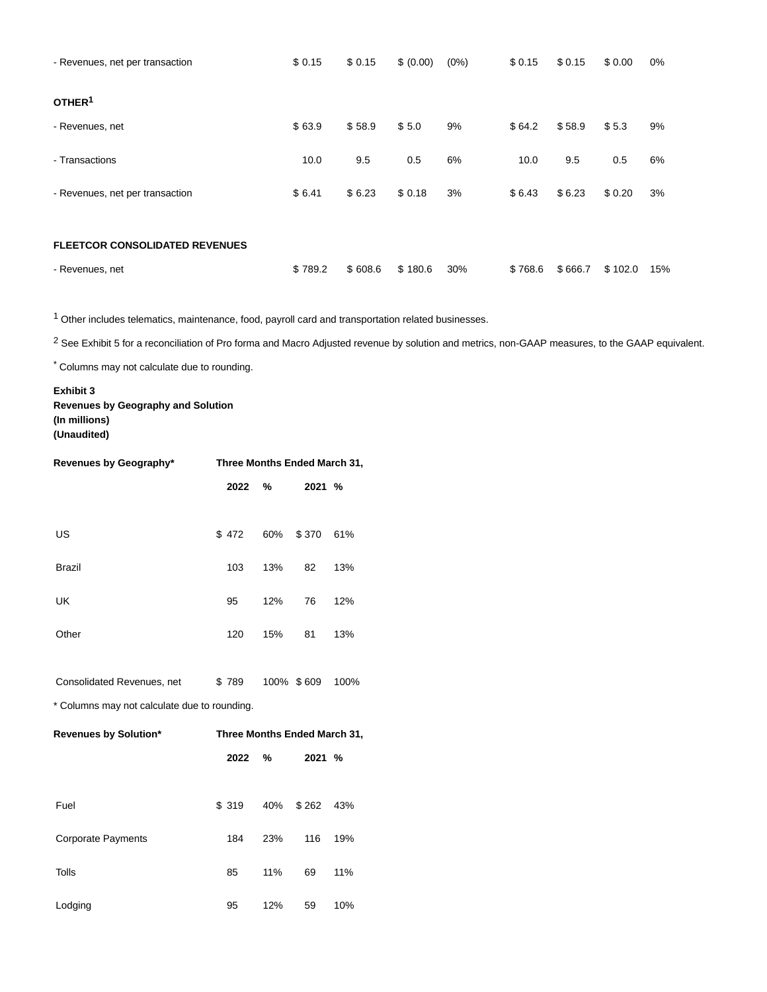| - Revenues, net per transaction       | \$0.15  | \$0.15  | \$ (0.00) | (0%) | \$0.15  | \$0.15  | \$0.00  | $0\%$ |
|---------------------------------------|---------|---------|-----------|------|---------|---------|---------|-------|
| OTHER <sup>1</sup>                    |         |         |           |      |         |         |         |       |
| - Revenues, net                       | \$63.9  | \$58.9  | \$5.0     | 9%   | \$64.2  | \$58.9  | \$5.3   | 9%    |
| - Transactions                        | 10.0    | 9.5     | 0.5       | 6%   | 10.0    | 9.5     | 0.5     | 6%    |
| - Revenues, net per transaction       | \$6.41  | \$6.23  | \$0.18    | 3%   | \$6.43  | \$6.23  | \$0.20  | 3%    |
|                                       |         |         |           |      |         |         |         |       |
| <b>FLEETCOR CONSOLIDATED REVENUES</b> |         |         |           |      |         |         |         |       |
| - Revenues, net                       | \$789.2 | \$608.6 | \$180.6   | 30%  | \$768.6 | \$666.7 | \$102.0 | 15%   |

1 Other includes telematics, maintenance, food, payroll card and transportation related businesses.

<sup>2</sup> See Exhibit 5 for a reconciliation of Pro forma and Macro Adjusted revenue by solution and metrics, non-GAAP measures, to the GAAP equivalent.

\* Columns may not calculate due to rounding.

## **Exhibit 3 Revenues by Geography and Solution (In millions) (Unaudited)**

| Revenues by Geography*                       | Three Months Ended March 31, |                              |            |  |           |      |  |
|----------------------------------------------|------------------------------|------------------------------|------------|--|-----------|------|--|
|                                              |                              | 2022                         | %          |  | 2021      | $\%$ |  |
|                                              |                              |                              |            |  |           |      |  |
| US                                           |                              | \$472                        | 60%        |  | \$370 61% |      |  |
| <b>Brazil</b>                                |                              | 103                          | 13%        |  | 82        | 13%  |  |
| <b>UK</b>                                    |                              | 95                           | 12%        |  | 76        | 12%  |  |
| Other                                        |                              | 120                          | 15%        |  | 81        | 13%  |  |
|                                              |                              |                              |            |  |           |      |  |
| Consolidated Revenues, net \$789             |                              |                              | 100% \$609 |  |           | 100% |  |
| * Columns may not calculate due to rounding. |                              |                              |            |  |           |      |  |
| Revenues by Solution*                        |                              | Three Months Ended March 31, |            |  |           |      |  |
|                                              |                              | 2022                         | %          |  | 2021 %    |      |  |
|                                              |                              |                              |            |  |           |      |  |
| Fuel                                         |                              | \$319                        | 40% \$262  |  |           | 43%  |  |
| <b>Corporate Payments</b>                    |                              | 184                          | 23%        |  | 116       | 19%  |  |
| <b>Tolls</b>                                 |                              | 85                           | 11%        |  | 69        | 11%  |  |
| Lodging                                      |                              | 95                           | 12%        |  | 59        | 10%  |  |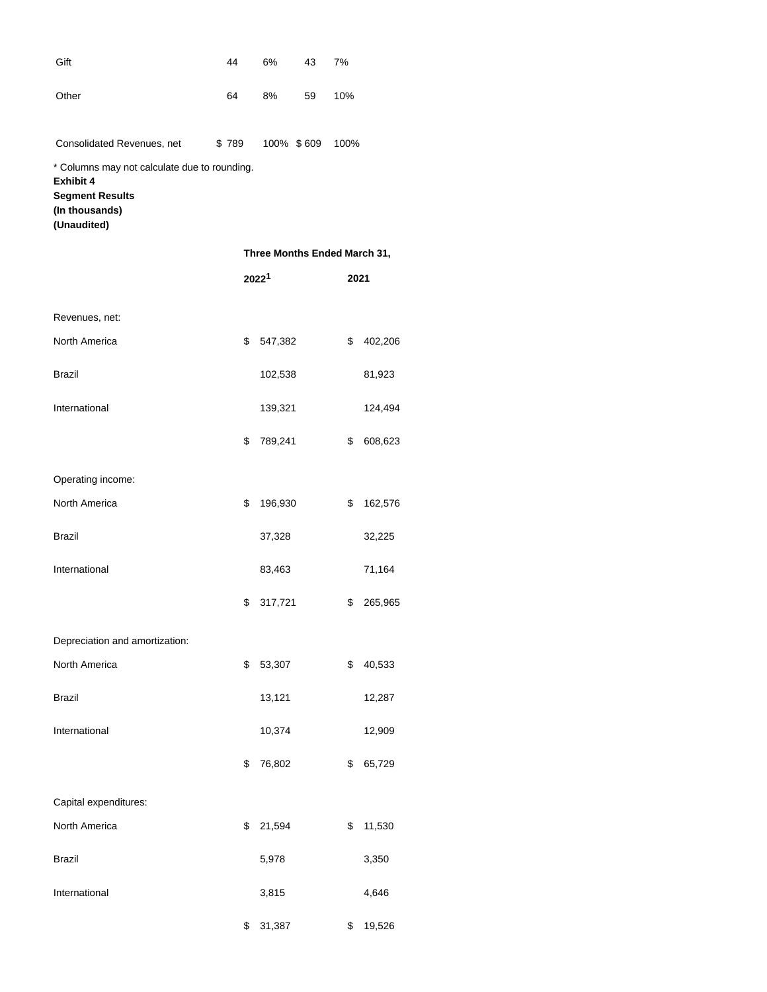| Gift                                                                                                                        | 44    | 6%                           | 43 | 7%   |         |
|-----------------------------------------------------------------------------------------------------------------------------|-------|------------------------------|----|------|---------|
| Other                                                                                                                       | 64    | 8%                           | 59 | 10%  |         |
| Consolidated Revenues, net                                                                                                  | \$789 | 100% \$609                   |    | 100% |         |
| * Columns may not calculate due to rounding.<br><b>Exhibit 4</b><br><b>Segment Results</b><br>(In thousands)<br>(Unaudited) |       |                              |    |      |         |
|                                                                                                                             |       | Three Months Ended March 31, |    |      |         |
|                                                                                                                             |       | 20221                        |    | 2021 |         |
| Revenues, net:                                                                                                              |       |                              |    |      |         |
| North America                                                                                                               | \$    | 547,382                      |    | \$   | 402,206 |
| <b>Brazil</b>                                                                                                               |       | 102,538                      |    |      | 81,923  |
| International                                                                                                               |       | 139,321                      |    |      | 124,494 |
|                                                                                                                             | \$    | 789,241                      |    | \$   | 608,623 |
| Operating income:                                                                                                           |       |                              |    |      |         |
| North America                                                                                                               | \$    | 196,930                      |    | \$   | 162,576 |
| <b>Brazil</b>                                                                                                               |       | 37,328                       |    |      | 32,225  |
| International                                                                                                               |       | 83,463                       |    |      | 71,164  |
|                                                                                                                             | \$    | 317,721                      |    | \$   | 265,965 |
| Depreciation and amortization:                                                                                              |       |                              |    |      |         |
| North America                                                                                                               | \$    | 53,307                       |    | \$   | 40,533  |
| <b>Brazil</b>                                                                                                               |       | 13,121                       |    |      | 12,287  |
| International                                                                                                               |       | 10,374                       |    |      | 12,909  |
|                                                                                                                             | \$    | 76,802                       |    | \$   | 65,729  |
| Capital expenditures:                                                                                                       |       |                              |    |      |         |
| North America                                                                                                               | \$    | 21,594                       |    | \$   | 11,530  |
| <b>Brazil</b>                                                                                                               |       | 5,978                        |    |      | 3,350   |
| International                                                                                                               |       | 3,815                        |    |      | 4,646   |
|                                                                                                                             | \$    | 31,387                       |    | \$   | 19,526  |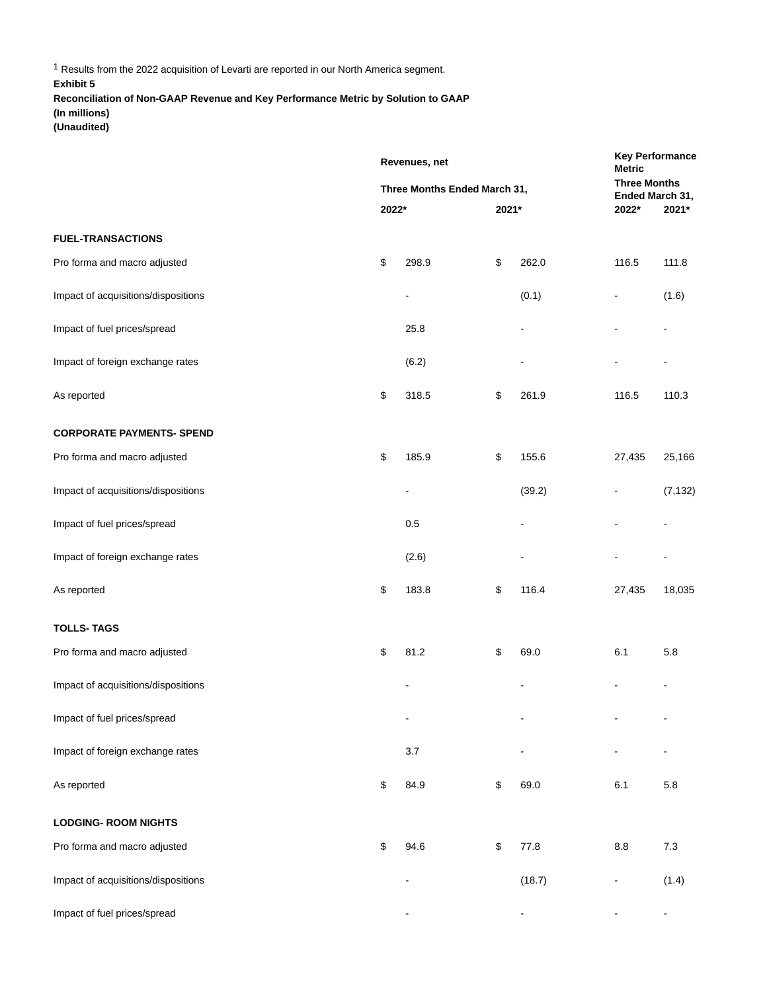1 Results from the 2022 acquisition of Levarti are reported in our North America segment. **Exhibit 5 Reconciliation of Non-GAAP Revenue and Key Performance Metric by Solution to GAAP (In millions) (Unaudited)**

|                                     |                              | Revenues, net            |       | <b>Key Performance</b><br><b>Metric</b> |                                        |          |  |  |
|-------------------------------------|------------------------------|--------------------------|-------|-----------------------------------------|----------------------------------------|----------|--|--|
|                                     | Three Months Ended March 31, |                          |       |                                         | <b>Three Months</b><br>Ended March 31, |          |  |  |
|                                     | 2022*                        |                          | 2021* |                                         | 2022*                                  | 2021*    |  |  |
| <b>FUEL-TRANSACTIONS</b>            |                              |                          |       |                                         |                                        |          |  |  |
| Pro forma and macro adjusted        | \$                           | 298.9                    | \$    | 262.0                                   | 116.5                                  | 111.8    |  |  |
| Impact of acquisitions/dispositions |                              | $\overline{\phantom{0}}$ |       | (0.1)                                   | $\overline{\phantom{a}}$               | (1.6)    |  |  |
| Impact of fuel prices/spread        |                              | 25.8                     |       |                                         |                                        |          |  |  |
| Impact of foreign exchange rates    |                              | (6.2)                    |       |                                         |                                        |          |  |  |
| As reported                         | \$                           | 318.5                    | \$    | 261.9                                   | 116.5                                  | 110.3    |  |  |
| <b>CORPORATE PAYMENTS- SPEND</b>    |                              |                          |       |                                         |                                        |          |  |  |
| Pro forma and macro adjusted        | \$                           | 185.9                    | \$    | 155.6                                   | 27,435                                 | 25,166   |  |  |
| Impact of acquisitions/dispositions |                              | $\blacksquare$           |       | (39.2)                                  |                                        | (7, 132) |  |  |
| Impact of fuel prices/spread        |                              | 0.5                      |       |                                         |                                        |          |  |  |
| Impact of foreign exchange rates    |                              | (2.6)                    |       |                                         |                                        |          |  |  |
| As reported                         | \$                           | 183.8                    | \$    | 116.4                                   | 27,435                                 | 18,035   |  |  |
| <b>TOLLS-TAGS</b>                   |                              |                          |       |                                         |                                        |          |  |  |
| Pro forma and macro adjusted        | \$                           | 81.2                     | \$    | 69.0                                    | 6.1                                    | 5.8      |  |  |
| Impact of acquisitions/dispositions |                              |                          |       |                                         |                                        |          |  |  |
| Impact of fuel prices/spread        |                              | ٠                        |       | $\blacksquare$                          |                                        |          |  |  |
| Impact of foreign exchange rates    |                              | $3.7\,$                  |       |                                         |                                        |          |  |  |
| As reported                         | \$                           | 84.9                     | \$    | 69.0                                    | 6.1                                    | 5.8      |  |  |
| <b>LODGING- ROOM NIGHTS</b>         |                              |                          |       |                                         |                                        |          |  |  |
| Pro forma and macro adjusted        | \$                           | 94.6                     | \$    | 77.8                                    | $8.8\,$                                | $7.3$    |  |  |
| Impact of acquisitions/dispositions |                              |                          |       | (18.7)                                  |                                        | (1.4)    |  |  |
| Impact of fuel prices/spread        |                              |                          |       |                                         |                                        |          |  |  |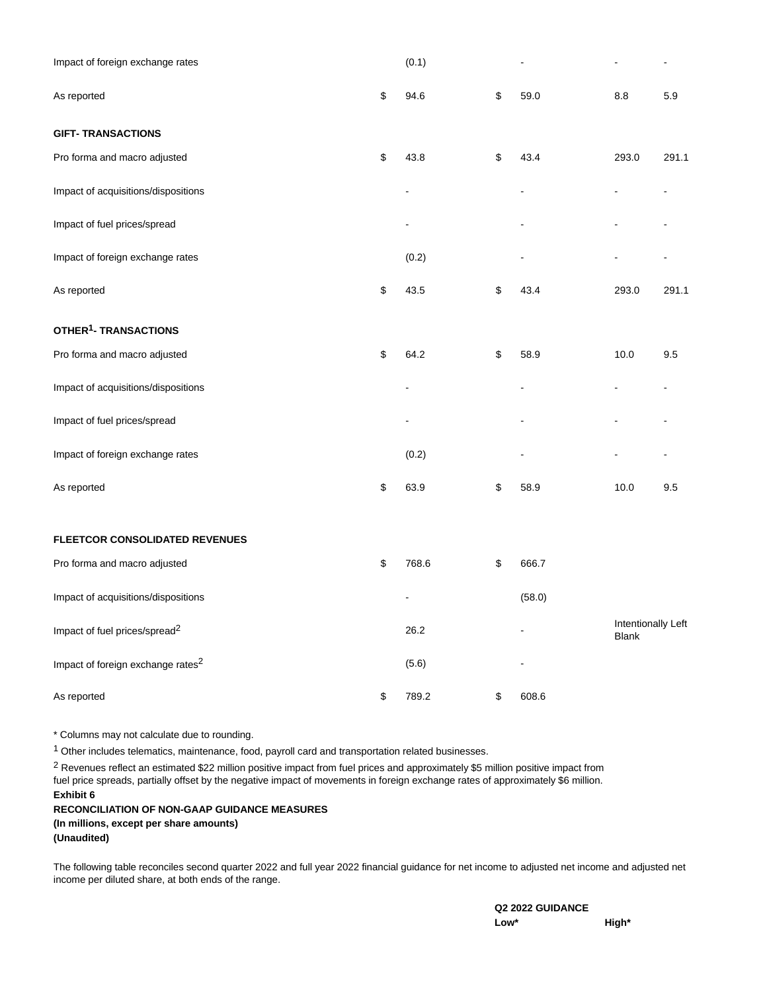| Impact of foreign exchange rates              | (0.1)          | $\blacksquare$ |                             | $\blacksquare$ |
|-----------------------------------------------|----------------|----------------|-----------------------------|----------------|
| As reported                                   | \$<br>94.6     | \$<br>59.0     | 8.8                         | 5.9            |
| <b>GIFT- TRANSACTIONS</b>                     |                |                |                             |                |
| Pro forma and macro adjusted                  | \$<br>43.8     | \$<br>43.4     | 293.0                       | 291.1          |
| Impact of acquisitions/dispositions           |                |                |                             |                |
| Impact of fuel prices/spread                  |                |                |                             |                |
| Impact of foreign exchange rates              | (0.2)          |                |                             |                |
| As reported                                   | \$<br>43.5     | \$<br>43.4     | 293.0                       | 291.1          |
| OTHER <sup>1</sup> - TRANSACTIONS             |                |                |                             |                |
| Pro forma and macro adjusted                  | \$<br>64.2     | \$<br>58.9     | 10.0                        | 9.5            |
| Impact of acquisitions/dispositions           | $\overline{a}$ | $\blacksquare$ |                             |                |
| Impact of fuel prices/spread                  |                |                |                             |                |
| Impact of foreign exchange rates              | (0.2)          |                |                             |                |
| As reported                                   | \$<br>63.9     | \$<br>58.9     | 10.0                        | 9.5            |
| <b>FLEETCOR CONSOLIDATED REVENUES</b>         |                |                |                             |                |
| Pro forma and macro adjusted                  | \$<br>768.6    | \$<br>666.7    |                             |                |
| Impact of acquisitions/dispositions           |                | (58.0)         |                             |                |
| Impact of fuel prices/spread <sup>2</sup>     | 26.2           |                | Intentionally Left<br>Blank |                |
| Impact of foreign exchange rates <sup>2</sup> | (5.6)          |                |                             |                |
| As reported                                   | \$<br>789.2    | \$<br>608.6    |                             |                |

\* Columns may not calculate due to rounding.

1 Other includes telematics, maintenance, food, payroll card and transportation related businesses.

2 Revenues reflect an estimated \$22 million positive impact from fuel prices and approximately \$5 million positive impact from fuel price spreads, partially offset by the negative impact of movements in foreign exchange rates of approximately \$6 million. **Exhibit 6**

**RECONCILIATION OF NON-GAAP GUIDANCE MEASURES (In millions, except per share amounts) (Unaudited)**

The following table reconciles second quarter 2022 and full year 2022 financial guidance for net income to adjusted net income and adjusted net income per diluted share, at both ends of the range.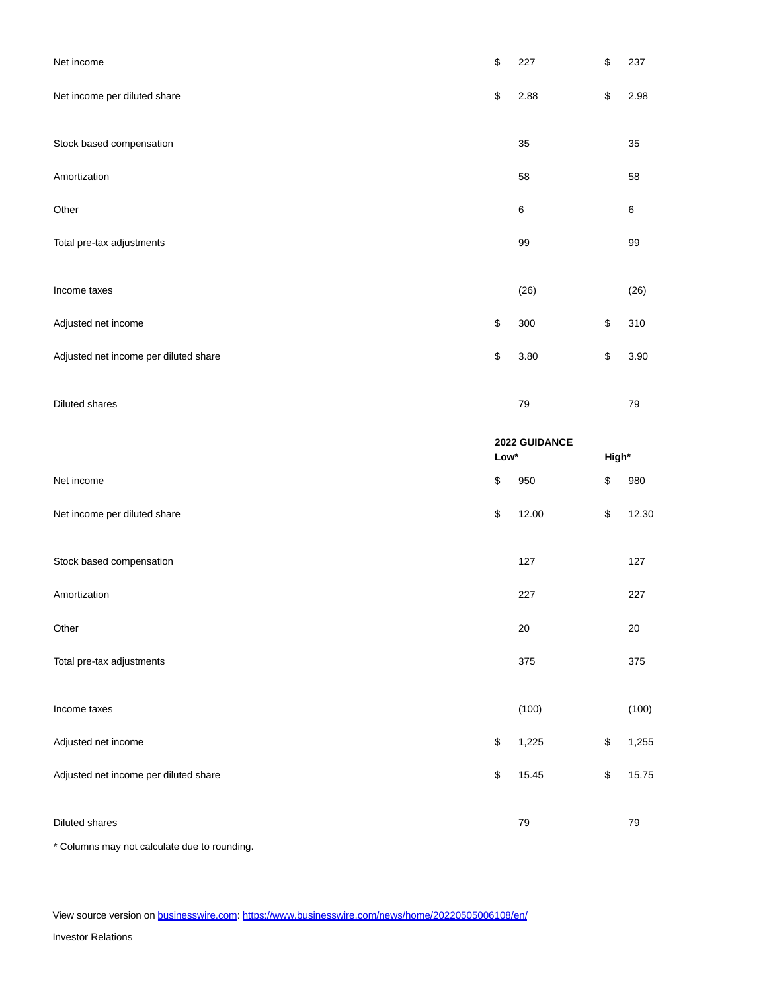| Net income                            | \$<br>227  | \$<br>237  |
|---------------------------------------|------------|------------|
| Net income per diluted share          | \$<br>2.88 | \$<br>2.98 |
| Stock based compensation              | 35         | 35         |
| Amortization                          | 58         | 58         |
| Other                                 | 6          | 6          |
| Total pre-tax adjustments             | 99         | 99         |
| Income taxes                          | (26)       | (26)       |
| Adjusted net income                   | \$<br>300  | \$<br>310  |
| Adjusted net income per diluted share | \$<br>3.80 | \$<br>3.90 |
| <b>Diluted shares</b>                 | 79         | 79         |

|                                       | 2022 GUIDANCE<br>Low* |       | High* |       |
|---------------------------------------|-----------------------|-------|-------|-------|
| Net income                            | \$                    | 950   | \$    | 980   |
| Net income per diluted share          | \$                    | 12.00 | \$    | 12.30 |
| Stock based compensation              |                       | 127   |       | 127   |
| Amortization                          |                       | 227   |       | 227   |
| Other                                 |                       | 20    |       | 20    |
| Total pre-tax adjustments             |                       | 375   |       | 375   |
| Income taxes                          |                       | (100) |       | (100) |
| Adjusted net income                   | \$                    | 1,225 | \$    | 1,255 |
| Adjusted net income per diluted share | \$                    | 15.45 | \$    | 15.75 |
| <b>Diluted shares</b>                 |                       | 79    |       | 79    |

\* Columns may not calculate due to rounding.

View source version on [businesswire.com:](http://businesswire.com/)<https://www.businesswire.com/news/home/20220505006108/en/>

Investor Relations